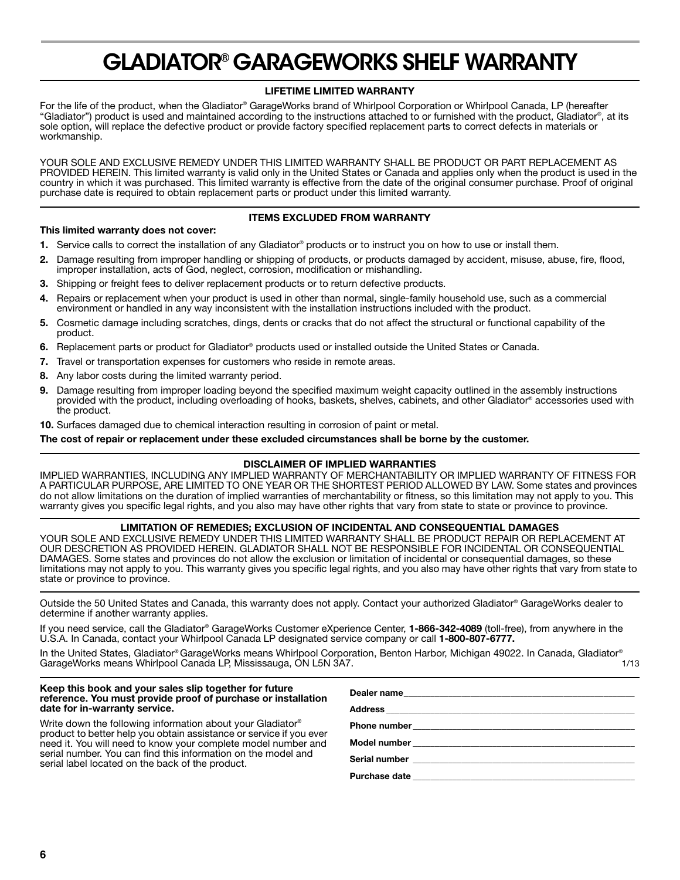# **GLADIATOR® GARAGEWORKS SHELF WARRANTY**

# **LIFETIME LIMITED WARRANTY**

For the life of the product, when the Gladiator® GarageWorks brand of Whirlpool Corporation or Whirlpool Canada, LP (hereafter "Gladiator") product is used and maintained according to the instructions attached to or furnished with the product, Gladiator®, at its sole option, will replace the defective product or provide factory specified replacement parts to correct defects in materials or workmanship.

YOUR SOLE AND EXCLUSIVE REMEDY UNDER THIS LIMITED WARRANTY SHALL BE PRODUCT OR PART REPLACEMENT AS PROVIDED HEREIN. This limited warranty is valid only in the United States or Canada and applies only when the product is used in the country in which it was purchased. This limited warranty is effective from the date of the original consumer purchase. Proof of original purchase date is required to obtain replacement parts or product under this limited warranty.

## **ITEMS EXCLUDED FROM WARRANTY**

#### **This limited warranty does not cover:**

- **1.** Service calls to correct the installation of any Gladiator® products or to instruct you on how to use or install them.
- **2.** Damage resulting from improper handling or shipping of products, or products damaged by accident, misuse, abuse, fire, flood, improper installation, acts of God, neglect, corrosion, modification or mishandling.
- **3.** Shipping or freight fees to deliver replacement products or to return defective products.
- **4.** Repairs or replacement when your product is used in other than normal, single-family household use, such as a commercial environment or handled in any way inconsistent with the installation instructions included with the product.
- **5.** Cosmetic damage including scratches, dings, dents or cracks that do not affect the structural or functional capability of the product.
- **6.** Replacement parts or product for Gladiator® products used or installed outside the United States or Canada.
- **7.** Travel or transportation expenses for customers who reside in remote areas.
- **8.** Any labor costs during the limited warranty period.
- **9.** Damage resulting from improper loading beyond the specified maximum weight capacity outlined in the assembly instructions provided with the product, including overloading of hooks, baskets, shelves, cabinets, and other Gladiator® accessories used with the product.
- **10.** Surfaces damaged due to chemical interaction resulting in corrosion of paint or metal.

**The cost of repair or replacement under these excluded circumstances shall be borne by the customer.**

# **DISCLAIMER OF IMPLIED WARRANTIES**

IMPLIED WARRANTIES, INCLUDING ANY IMPLIED WARRANTY OF MERCHANTABILITY OR IMPLIED WARRANTY OF FITNESS FOR A PARTICULAR PURPOSE, ARE LIMITED TO ONE YEAR OR THE SHORTEST PERIOD ALLOWED BY LAW. Some states and provinces do not allow limitations on the duration of implied warranties of merchantability or fitness, so this limitation may not apply to you. This warranty gives you specific legal rights, and you also may have other rights that vary from state to state or province to province.

### **LIMITATION OF REMEDIES; EXCLUSION OF INCIDENTAL AND CONSEQUENTIAL DAMAGES**

YOUR SOLE AND EXCLUSIVE REMEDY UNDER THIS LIMITED WARRANTY SHALL BE PRODUCT REPAIR OR REPLACEMENT AT OUR DESCRETION AS PROVIDED HEREIN. GLADIATOR SHALL NOT BE RESPONSIBLE FOR INCIDENTAL OR CONSEQUENTIAL DAMAGES. Some states and provinces do not allow the exclusion or limitation of incidental or consequential damages, so these limitations may not apply to you. This warranty gives you specific legal rights, and you also may have other rights that vary from state to state or province to province.

Outside the 50 United States and Canada, this warranty does not apply. Contact your authorized Gladiator® GarageWorks dealer to determine if another warranty applies.

If you need service, call the Gladiator® GarageWorks Customer eXperience Center, **1-866-342-4089** (toll-free), from anywhere in the U.S.A. In Canada, contact your Whirlpool Canada LP designated service company or call **1-800-807-6777.**

In the United States, Gladiator® GarageWorks means Whirlpool Corporation, Benton Harbor, Michigan 49022. In Canada, Gladiator® GarageWorks means Whirlpool Canada LP, Mississauga, ON L5N 3A7.

#### **Keep this book and your sales slip together for future reference. You must provide proof of purchase or installation date for in-warranty service.**

Write down the following information about your Gladiator® product to better help you obtain assistance or service if you ever need it. You will need to know your complete model number and serial number. You can find this information on the model and serial label located on the back of the product.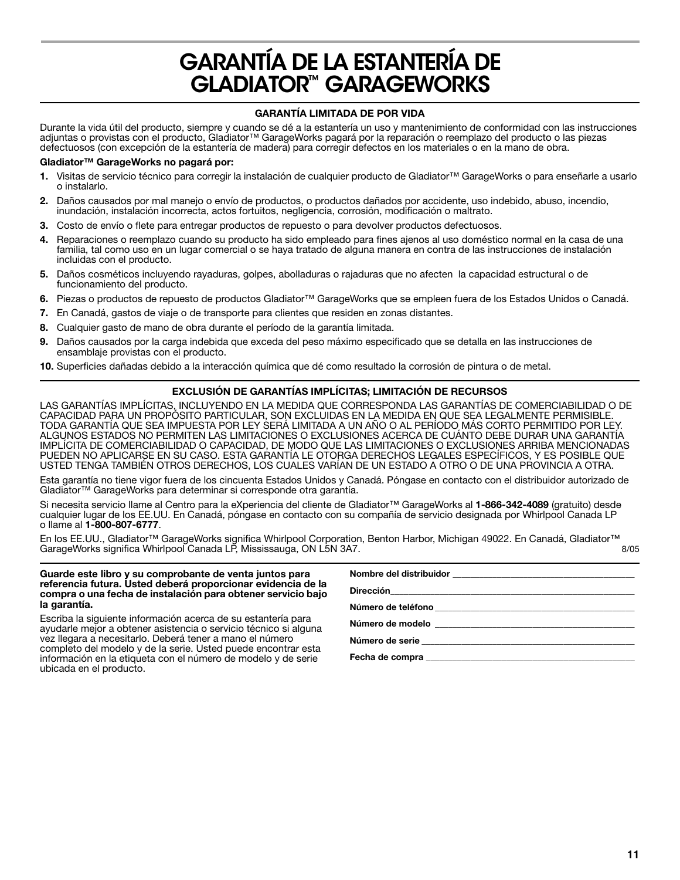# **GARANTÍA DE LA ESTANTERÍA DE GLADIATOR™ GARAGEWORKS**

# **GARANTÍA LIMITADA DE POR VIDA**

Durante la vida útil del producto, siempre y cuando se dé a la estantería un uso y mantenimiento de conformidad con las instrucciones adjuntas o provistas con el producto, Gladiator™ GarageWorks pagará por la reparación o reemplazo del producto o las piezas defectuosos (con excepción de la estantería de madera) para corregir defectos en los materiales o en la mano de obra.

### **Gladiator™ GarageWorks no pagará por:**

- **1.** Visitas de servicio técnico para corregir la instalación de cualquier producto de Gladiator™ GarageWorks o para enseñarle a usarlo o instalarlo.
- **2.** Daños causados por mal manejo o envío de productos, o productos dañados por accidente, uso indebido, abuso, incendio, inundación, instalación incorrecta, actos fortuitos, negligencia, corrosión, modificación o maltrato.
- **3.** Costo de envío o flete para entregar productos de repuesto o para devolver productos defectuosos.
- **4.** Reparaciones o reemplazo cuando su producto ha sido empleado para fines ajenos al uso doméstico normal en la casa de una familia, tal como uso en un lugar comercial o se haya tratado de alguna manera en contra de las instrucciones de instalación incluidas con el producto.
- **5.** Daños cosméticos incluyendo rayaduras, golpes, abolladuras o rajaduras que no afecten la capacidad estructural o de funcionamiento del producto.
- **6.** Piezas o productos de repuesto de productos Gladiator™ GarageWorks que se empleen fuera de los Estados Unidos o Canadá.
- **7.** En Canadá, gastos de viaje o de transporte para clientes que residen en zonas distantes.
- **8.** Cualquier gasto de mano de obra durante el período de la garantía limitada.
- **9.** Daños causados por la carga indebida que exceda del peso máximo especificado que se detalla en las instrucciones de ensamblaje provistas con el producto.
- **10.** Superficies dañadas debido a la interacción química que dé como resultado la corrosión de pintura o de metal.

# **EXCLUSIÓN DE GARANTÍAS IMPLÍCITAS; LIMITACIÓN DE RECURSOS**

LAS GARANTÍAS IMPLÍCITAS, INCLUYENDO EN LA MEDIDA QUE CORRESPONDA LAS GARANTÍAS DE COMERCIABILIDAD O DE CAPACIDAD PARA UN PROPÓSITO PARTICULAR, SON EXCLUIDAS EN LA MEDIDA EN QUE SEA LEGALMENTE PERMISIBLE. TODA GARANTÍA QUE SEA IMPUESTA POR LEY SERÁ LIMITADA A UN AÑO O AL PERÍODO MÁS CORTO PERMITIDO POR LEY. ALGUNOS ESTADOS NO PERMITEN LAS LIMITACIONES O EXCLUSIONES ACERCA DE CUÁNTO DEBE DURAR UNA GARANTÍA IMPLÍCITA DE COMERCIABILIDAD O CAPACIDAD, DE MODO QUE LAS LIMITACIONES O EXCLUSIONES ARRIBA MENCIONADAS PUEDEN NO APLICARSE EN SU CASO. ESTA GARANTÍA LE OTORGA DERECHOS LEGALES ESPECÍFICOS, Y ES POSIBLE QUE USTED TENGA TAMBIÉN OTROS DERECHOS, LOS CUALES VARÍAN DE UN ESTADO A OTRO O DE UNA PROVINCIA A OTRA.

Esta garantía no tiene vigor fuera de los cincuenta Estados Unidos y Canadá. Póngase en contacto con el distribuidor autorizado de Gladiator™ GarageWorks para determinar si corresponde otra garantía.

Si necesita servicio llame al Centro para la eXperiencia del cliente de Gladiator™ GarageWorks al **1-866-342-4089** (gratuito) desde cualquier lugar de los EE.UU. En Canadá, póngase en contacto con su compañía de servicio designada por Whirlpool Canada LP o llame al **1-800-807-6777**.

En los EE.UU., Gladiator™ GarageWorks significa Whirlpool Corporation, Benton Harbor, Michigan 49022. En Canadá, Gladiator™<br>GarageWorks significa Whirlpool Canada LP. Mississauga. ON L5N 3A7. GarageWorks significa Whirlpool Canada LP, Mississauga, ON L5N 3A7.

#### **Guarde este libro y su comprobante de venta juntos para referencia futura. Usted deberá proporcionar evidencia de la compra o una fecha de instalación para obtener servicio bajo la garantía.**

Escriba la siguiente información acerca de su estantería para ayudarle mejor a obtener asistencia o servicio técnico si alguna vez llegara a necesitarlo. Deberá tener a mano el número completo del modelo y de la serie. Usted puede encontrar esta información en la etiqueta con el número de modelo y de serie ubicada en el producto.